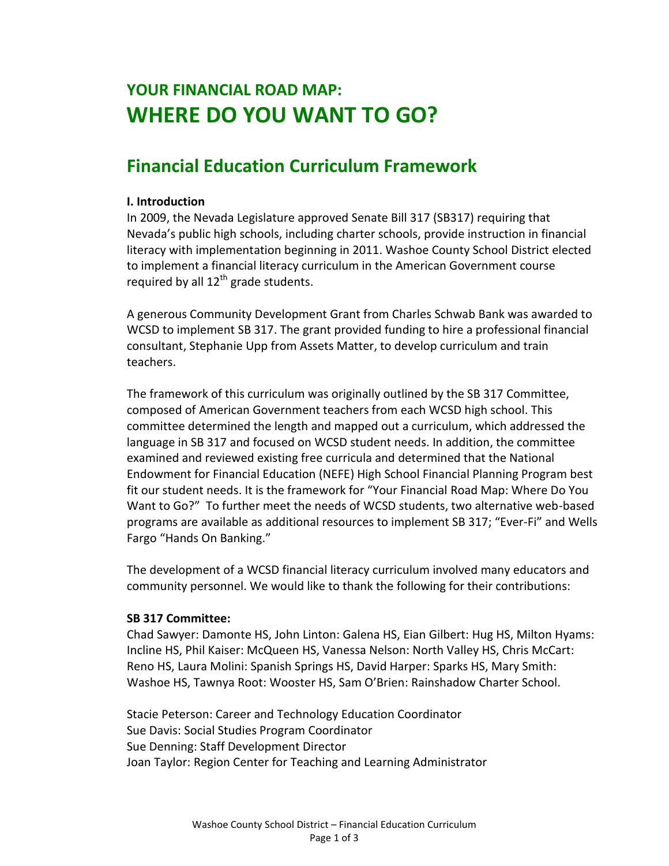# **YOUR FINANCIAL ROAD MAP: WHERE DO YOU WANT TO GO?**

# **Financial Education Curriculum Framework**

#### **I. Introduction**

In 2009, the Nevada Legislature approved Senate Bill 317 (SB317) requiring that Nevada's public high schools, including charter schools, provide instruction in financial literacy with implementation beginning in 2011. Washoe County School District elected to implement a financial literacy curriculum in the American Government course required by all  $12^{th}$  grade students.

A generous Community Development Grant from Charles Schwab Bank was awarded to WCSD to implement SB 317. The grant provided funding to hire a professional financial consultant, Stephanie Upp from Assets Matter, to develop curriculum and train teachers.

The framework of this curriculum was originally outlined by the SB 317 Committee, composed of American Government teachers from each WCSD high school. This committee determined the length and mapped out a curriculum, which addressed the language in SB 317 and focused on WCSD student needs. In addition, the committee examined and reviewed existing free curricula and determined that the National Endowment for Financial Education (NEFE) High School Financial Planning Program best fit our student needs. It is the framework for "Your Financial Road Map: Where Do You Want to Go?" To further meet the needs of WCSD students, two alternative web-based programs are available as additional resources to implement SB 317; "Ever-Fi" and Wells Fargo "Hands On Banking."

The development of a WCSD financial literacy curriculum involved many educators and community personnel. We would like to thank the following for their contributions:

#### **SB 317 Committee:**

Chad Sawyer: Damonte HS, John Linton: Galena HS, Eian Gilbert: Hug HS, Milton Hyams: Incline HS, Phil Kaiser: McQueen HS, Vanessa Nelson: North Valley HS, Chris McCart: Reno HS, Laura Molini: Spanish Springs HS, David Harper: Sparks HS, Mary Smith: Washoe HS, Tawnya Root: Wooster HS, Sam O'Brien: Rainshadow Charter School.

Stacie Peterson: Career and Technology Education Coordinator Sue Davis: Social Studies Program Coordinator Sue Denning: Staff Development Director Joan Taylor: Region Center for Teaching and Learning Administrator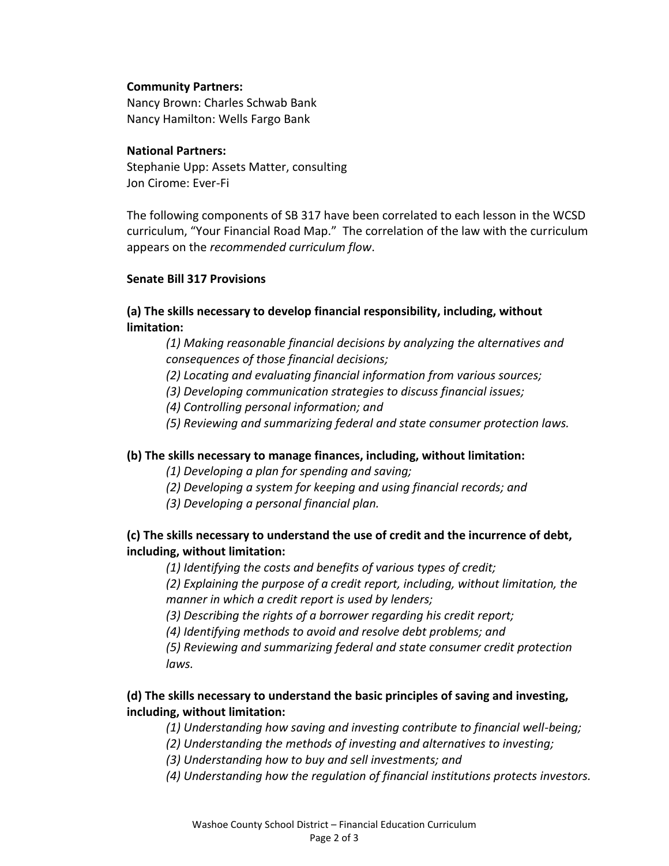#### **Community Partners:**

Nancy Brown: Charles Schwab Bank Nancy Hamilton: Wells Fargo Bank

#### **National Partners:**

Stephanie Upp: Assets Matter, consulting Jon Cirome: Ever-Fi

The following components of SB 317 have been correlated to each lesson in the WCSD curriculum, "Your Financial Road Map." The correlation of the law with the curriculum appears on the *recommended curriculum flow*.

#### **Senate Bill 317 Provisions**

#### **(a) The skills necessary to develop financial responsibility, including, without limitation:**

*(1) Making reasonable financial decisions by analyzing the alternatives and consequences of those financial decisions;*

- *(2) Locating and evaluating financial information from various sources;*
- *(3) Developing communication strategies to discuss financial issues;*
- *(4) Controlling personal information; and*
- *(5) Reviewing and summarizing federal and state consumer protection laws.*

#### **(b) The skills necessary to manage finances, including, without limitation:**

- *(1) Developing a plan for spending and saving;*
- *(2) Developing a system for keeping and using financial records; and*
- *(3) Developing a personal financial plan.*

### **(c) The skills necessary to understand the use of credit and the incurrence of debt, including, without limitation:**

*(1) Identifying the costs and benefits of various types of credit;*

*(2) Explaining the purpose of a credit report, including, without limitation, the manner in which a credit report is used by lenders;*

*(3) Describing the rights of a borrower regarding his credit report;*

*(4) Identifying methods to avoid and resolve debt problems; and*

*(5) Reviewing and summarizing federal and state consumer credit protection laws.*

### **(d) The skills necessary to understand the basic principles of saving and investing, including, without limitation:**

- *(1) Understanding how saving and investing contribute to financial well-being;*
- *(2) Understanding the methods of investing and alternatives to investing;*
- *(3) Understanding how to buy and sell investments; and*
- *(4) Understanding how the regulation of financial institutions protects investors.*